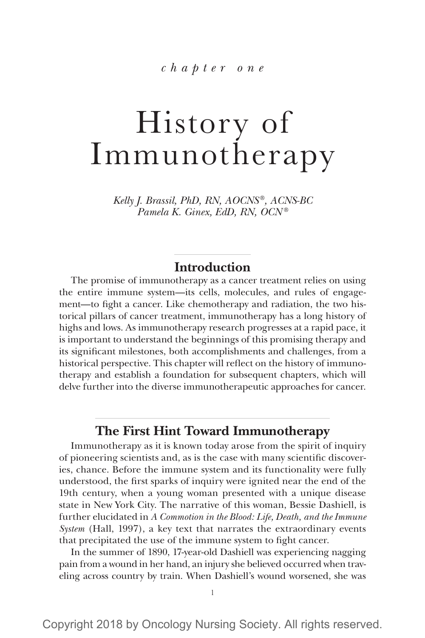*chapter one*

# History of Immunotherapy

*Kelly J. Brassil, PhD, RN, AOCNS®, ACNS-BC Pamela K. Ginex, EdD, RN, OCN ®*

## **Introduction**

The promise of immunotherapy as a cancer treatment relies on using the entire immune system—its cells, molecules, and rules of engagement—to fight a cancer. Like chemotherapy and radiation, the two historical pillars of cancer treatment, immunotherapy has a long history of highs and lows. As immunotherapy research progresses at a rapid pace, it is important to understand the beginnings of this promising therapy and its significant milestones, both accomplishments and challenges, from a historical perspective. This chapter will reflect on the history of immunotherapy and establish a foundation for subsequent chapters, which will delve further into the diverse immunotherapeutic approaches for cancer.

# **The First Hint Toward Immunotherapy**

Immunotherapy as it is known today arose from the spirit of inquiry of pioneering scientists and, as is the case with many scientific discoveries, chance. Before the immune system and its functionality were fully understood, the first sparks of inquiry were ignited near the end of the 19th century, when a young woman presented with a unique disease state in New York City. The narrative of this woman, Bessie Dashiell, is further elucidated in *A Commotion in the Blood: Life, Death, and the Immune System* (Hall, 1997), a key text that narrates the extraordinary events that precipitated the use of the immune system to fight cancer.

In the summer of 1890, 17-year-old Dashiell was experiencing nagging pain from a wound in her hand, an injury she believed occurred when traveling across country by train. When Dashiell's wound worsened, she was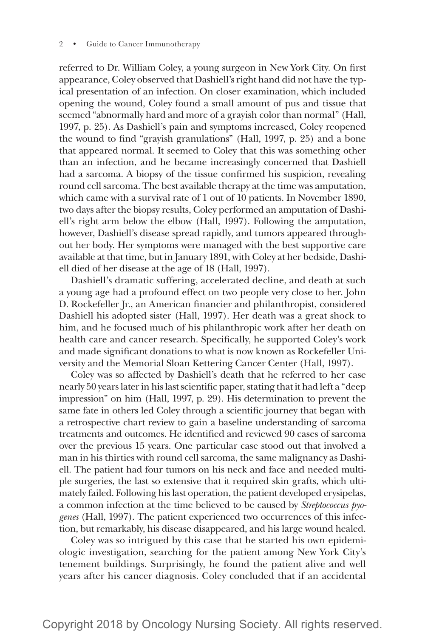referred to Dr. William Coley, a young surgeon in New York City. On first appearance, Coley observed that Dashiell's right hand did not have the typical presentation of an infection. On closer examination, which included opening the wound, Coley found a small amount of pus and tissue that seemed "abnormally hard and more of a grayish color than normal" (Hall, 1997, p. 25). As Dashiell's pain and symptoms increased, Coley reopened the wound to find "grayish granulations" (Hall, 1997, p. 25) and a bone that appeared normal. It seemed to Coley that this was something other than an infection, and he became increasingly concerned that Dashiell had a sarcoma. A biopsy of the tissue confirmed his suspicion, revealing round cell sarcoma. The best available therapy at the time was amputation, which came with a survival rate of 1 out of 10 patients. In November 1890, two days after the biopsy results, Coley performed an amputation of Dashiell's right arm below the elbow (Hall, 1997). Following the amputation, however, Dashiell's disease spread rapidly, and tumors appeared throughout her body. Her symptoms were managed with the best supportive care available at that time, but in January 1891, with Coley at her bedside, Dashiell died of her disease at the age of 18 (Hall, 1997).

Dashiell's dramatic suffering, accelerated decline, and death at such a young age had a profound effect on two people very close to her. John D. Rockefeller Jr., an American financier and philanthropist, considered Dashiell his adopted sister (Hall, 1997). Her death was a great shock to him, and he focused much of his philanthropic work after her death on health care and cancer research. Specifically, he supported Coley's work and made significant donations to what is now known as Rockefeller University and the Memorial Sloan Kettering Cancer Center (Hall, 1997).

Coley was so affected by Dashiell's death that he referred to her case nearly 50 years later in his last scientific paper, stating that it had left a "deep impression" on him (Hall, 1997, p. 29). His determination to prevent the same fate in others led Coley through a scientific journey that began with a retrospective chart review to gain a baseline understanding of sarcoma treatments and outcomes. He identified and reviewed 90 cases of sarcoma over the previous 15 years. One particular case stood out that involved a man in his thirties with round cell sarcoma, the same malignancy as Dashiell. The patient had four tumors on his neck and face and needed multiple surgeries, the last so extensive that it required skin grafts, which ultimately failed. Following his last operation, the patient developed erysipelas, a common infection at the time believed to be caused by *Streptococcus pyogenes* (Hall, 1997). The patient experienced two occurrences of this infection, but remarkably, his disease disappeared, and his large wound healed.

Coley was so intrigued by this case that he started his own epidemiologic investigation, searching for the patient among New York City's tenement buildings. Surprisingly, he found the patient alive and well years after his cancer diagnosis. Coley concluded that if an accidental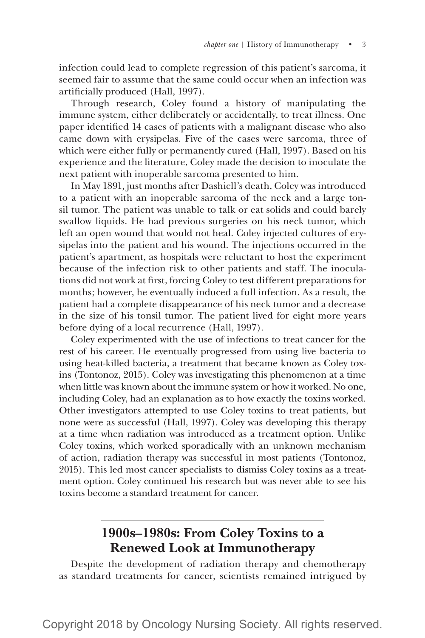infection could lead to complete regression of this patient's sarcoma, it seemed fair to assume that the same could occur when an infection was artificially produced (Hall, 1997).

Through research, Coley found a history of manipulating the immune system, either deliberately or accidentally, to treat illness. One paper identified 14 cases of patients with a malignant disease who also came down with erysipelas. Five of the cases were sarcoma, three of which were either fully or permanently cured (Hall, 1997). Based on his experience and the literature, Coley made the decision to inoculate the next patient with inoperable sarcoma presented to him.

In May 1891, just months after Dashiell's death, Coley was introduced to a patient with an inoperable sarcoma of the neck and a large tonsil tumor. The patient was unable to talk or eat solids and could barely swallow liquids. He had previous surgeries on his neck tumor, which left an open wound that would not heal. Coley injected cultures of erysipelas into the patient and his wound. The injections occurred in the patient's apartment, as hospitals were reluctant to host the experiment because of the infection risk to other patients and staff. The inoculations did not work at first, forcing Coley to test different preparations for months; however, he eventually induced a full infection. As a result, the patient had a complete disappearance of his neck tumor and a decrease in the size of his tonsil tumor. The patient lived for eight more years before dying of a local recurrence (Hall, 1997).

Coley experimented with the use of infections to treat cancer for the rest of his career. He eventually progressed from using live bacteria to using heat-killed bacteria, a treatment that became known as Coley toxins (Tontonoz, 2015). Coley was investigating this phenomenon at a time when little was known about the immune system or how it worked. No one, including Coley, had an explanation as to how exactly the toxins worked. Other investigators attempted to use Coley toxins to treat patients, but none were as successful (Hall, 1997). Coley was developing this therapy at a time when radiation was introduced as a treatment option. Unlike Coley toxins, which worked sporadically with an unknown mechanism of action, radiation therapy was successful in most patients (Tontonoz, 2015). This led most cancer specialists to dismiss Coley toxins as a treatment option. Coley continued his research but was never able to see his toxins become a standard treatment for cancer.

# **1900s–1980s: From Coley Toxins to a Renewed Look at Immunotherapy**

Despite the development of radiation therapy and chemotherapy as standard treatments for cancer, scientists remained intrigued by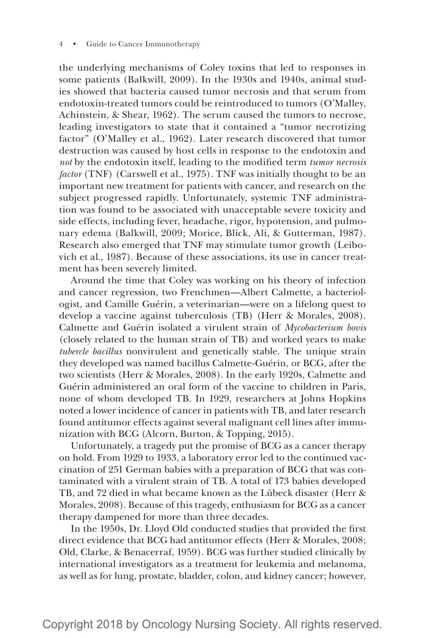the underlying mechanisms of Coley toxins that led to responses in some patients (Balkwill, 2009). In the 1930s and 1940s, animal studies showed that bacteria caused tumor necrosis and that serum from endotoxin-treated tumors could be reintroduced to tumors (O'Malley, Achinstein, & Shear, 1962). The serum caused the tumors to necrose, leading investigators to state that it contained a "tumor necrotizing factor" (O'Malley et al., 1962). Later research discovered that tumor destruction was caused by host cells in response to the endotoxin and *not* by the endotoxin itself, leading to the modified term *tumor necrosis factor* (TNF) (Carswell et al., 1975). TNF was initially thought to be an important new treatment for patients with cancer, and research on the subject progressed rapidly. Unfortunately, systemic TNF administration was found to be associated with unacceptable severe toxicity and side effects, including fever, headache, rigor, hypotension, and pulmonary edema (Balkwill, 2009; Morice, Blick, Ali, & Gutterman, 1987). Research also emerged that TNF may stimulate tumor growth (Leibovich et al., 1987). Because of these associations, its use in cancer treatment has been severely limited.

Around the time that Coley was working on his theory of infection and cancer regression, two Frenchmen—Albert Calmette, a bacteriologist, and Camille Guérin, a veterinarian—were on a lifelong quest to develop a vaccine against tuberculosis (TB) (Herr & Morales, 2008). Calmette and Guérin isolated a virulent strain of *Mycobacterium bovis* (closely related to the human strain of TB) and worked years to make *tubercle bacillus* nonvirulent and genetically stable. The unique strain they developed was named bacillus Calmette-Guérin, or BCG, after the two scientists (Herr & Morales, 2008). In the early 1920s, Calmette and Guérin administered an oral form of the vaccine to children in Paris, none of whom developed TB. In 1929, researchers at Johns Hopkins noted a lower incidence of cancer in patients with TB, and later research found antitumor effects against several malignant cell lines after immunization with BCG (Alcorn, Burton, & Topping, 2015).

Unfortunately, a tragedy put the promise of BCG as a cancer therapy on hold. From 1929 to 1933, a laboratory error led to the continued vaccination of 251 German babies with a preparation of BCG that was contaminated with a virulent strain of TB. A total of 173 babies developed TB, and 72 died in what became known as the Lübeck disaster (Herr & Morales, 2008). Because of this tragedy, enthusiasm for BCG as a cancer therapy dampened for more than three decades.

In the 1950s, Dr. Lloyd Old conducted studies that provided the first direct evidence that BCG had antitumor effects (Herr & Morales, 2008; Old, Clarke, & Benacerraf, 1959). BCG was further studied clinically by international investigators as a treatment for leukemia and melanoma, as well as for lung, prostate, bladder, colon, and kidney cancer; however,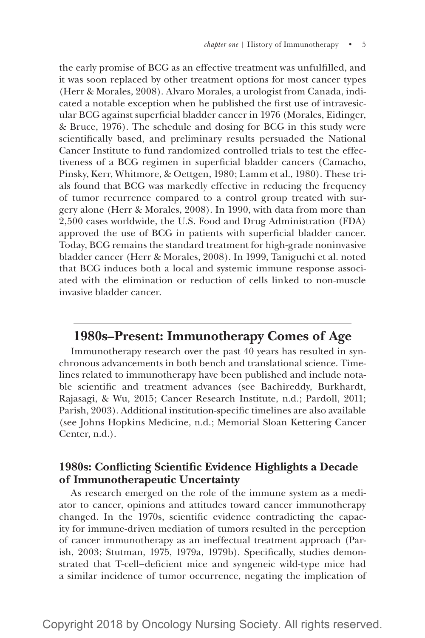the early promise of BCG as an effective treatment was unfulfilled, and it was soon replaced by other treatment options for most cancer types (Herr & Morales, 2008). Alvaro Morales, a urologist from Canada, indicated a notable exception when he published the first use of intravesicular BCG against superficial bladder cancer in 1976 (Morales, Eidinger, & Bruce, 1976). The schedule and dosing for BCG in this study were scientifically based, and preliminary results persuaded the National Cancer Institute to fund randomized controlled trials to test the effectiveness of a BCG regimen in superficial bladder cancers (Camacho, Pinsky, Kerr, Whitmore, & Oettgen, 1980; Lamm et al., 1980). These trials found that BCG was markedly effective in reducing the frequency of tumor recurrence compared to a control group treated with surgery alone (Herr & Morales, 2008). In 1990, with data from more than 2,500 cases worldwide, the U.S. Food and Drug Administration (FDA) approved the use of BCG in patients with superficial bladder cancer. Today, BCG remains the standard treatment for high-grade noninvasive bladder cancer (Herr & Morales, 2008). In 1999, Taniguchi et al. noted that BCG induces both a local and systemic immune response associated with the elimination or reduction of cells linked to non-muscle invasive bladder cancer.

## **1980s–Present: Immunotherapy Comes of Age**

Immunotherapy research over the past 40 years has resulted in synchronous advancements in both bench and translational science. Timelines related to immunotherapy have been published and include notable scientific and treatment advances (see Bachireddy, Burkhardt, Rajasagi, & Wu, 2015; Cancer Research Institute, n.d.; Pardoll, 2011; Parish, 2003). Additional institution-specific timelines are also available (see Johns Hopkins Medicine, n.d.; Memorial Sloan Kettering Cancer Center, n.d.).

## **1980s: Conflicting Scientific Evidence Highlights a Decade of Immunotherapeutic Uncertainty**

As research emerged on the role of the immune system as a mediator to cancer, opinions and attitudes toward cancer immunotherapy changed. In the 1970s, scientific evidence contradicting the capacity for immune-driven mediation of tumors resulted in the perception of cancer immunotherapy as an ineffectual treatment approach (Parish, 2003; Stutman, 1975, 1979a, 1979b). Specifically, studies demonstrated that T-cell–deficient mice and syngeneic wild-type mice had a similar incidence of tumor occurrence, negating the implication of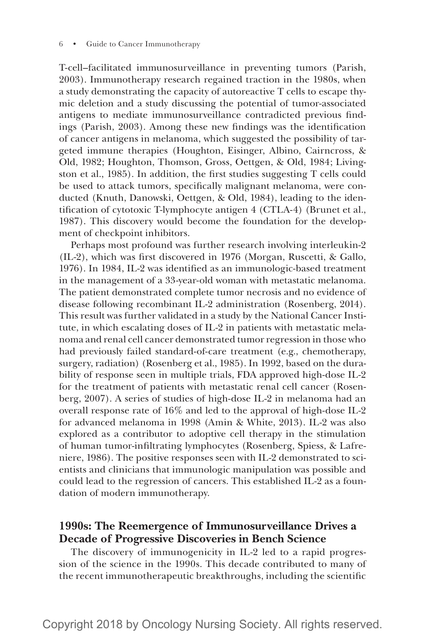T-cell–facilitated immunosurveillance in preventing tumors (Parish, 2003). Immunotherapy research regained traction in the 1980s, when a study demonstrating the capacity of autoreactive T cells to escape thymic deletion and a study discussing the potential of tumor-associated antigens to mediate immunosurveillance contradicted previous findings (Parish, 2003). Among these new findings was the identification of cancer antigens in melanoma, which suggested the possibility of targeted immune therapies (Houghton, Eisinger, Albino, Cairncross, & Old, 1982; Houghton, Thomson, Gross, Oettgen, & Old, 1984; Livingston et al., 1985). In addition, the first studies suggesting T cells could be used to attack tumors, specifically malignant melanoma, were conducted (Knuth, Danowski, Oettgen, & Old, 1984), leading to the identification of cytotoxic T-lymphocyte antigen 4 (CTLA-4) (Brunet et al., 1987). This discovery would become the foundation for the development of checkpoint inhibitors.

Perhaps most profound was further research involving interleukin-2 (IL-2), which was first discovered in 1976 (Morgan, Ruscetti, & Gallo, 1976). In 1984, IL-2 was identified as an immunologic-based treatment in the management of a 33-year-old woman with metastatic melanoma. The patient demonstrated complete tumor necrosis and no evidence of disease following recombinant IL-2 administration (Rosenberg, 2014). This result was further validated in a study by the National Cancer Institute, in which escalating doses of IL-2 in patients with metastatic melanoma and renal cell cancer demonstrated tumor regression in those who had previously failed standard-of-care treatment (e.g., chemotherapy, surgery, radiation) (Rosenberg et al., 1985). In 1992, based on the durability of response seen in multiple trials, FDA approved high-dose IL-2 for the treatment of patients with metastatic renal cell cancer (Rosenberg, 2007). A series of studies of high-dose IL-2 in melanoma had an overall response rate of 16% and led to the approval of high-dose IL-2 for advanced melanoma in 1998 (Amin & White, 2013). IL-2 was also explored as a contributor to adoptive cell therapy in the stimulation of human tumor-infiltrating lymphocytes (Rosenberg, Spiess, & Lafreniere, 1986). The positive responses seen with IL-2 demonstrated to scientists and clinicians that immunologic manipulation was possible and could lead to the regression of cancers. This established IL-2 as a foundation of modern immunotherapy.

## **1990s: The Reemergence of Immunosurveillance Drives a Decade of Progressive Discoveries in Bench Science**

The discovery of immunogenicity in IL-2 led to a rapid progression of the science in the 1990s. This decade contributed to many of the recent immunotherapeutic breakthroughs, including the scientific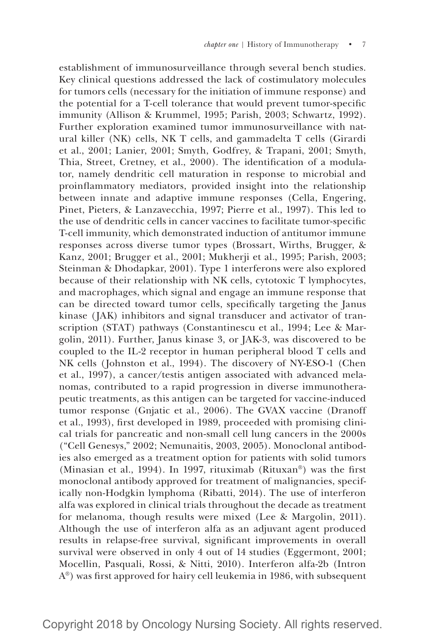establishment of immunosurveillance through several bench studies. Key clinical questions addressed the lack of costimulatory molecules for tumors cells (necessary for the initiation of immune response) and the potential for a T-cell tolerance that would prevent tumor-specific immunity (Allison & Krummel, 1995; Parish, 2003; Schwartz, 1992). Further exploration examined tumor immunosurveillance with natural killer (NK) cells, NK T cells, and gammadelta T cells (Girardi et al., 2001; Lanier, 2001; Smyth, Godfrey, & Trapani, 2001; Smyth, Thia, Street, Cretney, et al., 2000). The identification of a modulator, namely dendritic cell maturation in response to microbial and proinflammatory mediators, provided insight into the relationship between innate and adaptive immune responses (Cella, Engering, Pinet, Pieters, & Lanzavecchia, 1997; Pierre et al., 1997). This led to the use of dendritic cells in cancer vaccines to facilitate tumor-specific T-cell immunity, which demonstrated induction of antitumor immune responses across diverse tumor types (Brossart, Wirths, Brugger, & Kanz, 2001; Brugger et al., 2001; Mukherji et al., 1995; Parish, 2003; Steinman & Dhodapkar, 2001). Type 1 interferons were also explored because of their relationship with NK cells, cytotoxic T lymphocytes, and macrophages, which signal and engage an immune response that can be directed toward tumor cells, specifically targeting the Janus kinase (JAK) inhibitors and signal transducer and activator of transcription (STAT) pathways (Constantinescu et al., 1994; Lee & Margolin, 2011). Further, Janus kinase 3, or JAK-3, was discovered to be coupled to the IL-2 receptor in human peripheral blood T cells and NK cells (Johnston et al., 1994). The discovery of NY-ESO-1 (Chen et al., 1997), a cancer/testis antigen associated with advanced melanomas, contributed to a rapid progression in diverse immunotherapeutic treatments, as this antigen can be targeted for vaccine-induced tumor response (Gnjatic et al., 2006). The GVAX vaccine (Dranoff et al., 1993), first developed in 1989, proceeded with promising clinical trials for pancreatic and non-small cell lung cancers in the 2000s ("Cell Genesys," 2002; Nemunaitis, 2003, 2005). Monoclonal antibodies also emerged as a treatment option for patients with solid tumors (Minasian et al., 1994). In 1997, rituximab (Rituxan®) was the first monoclonal antibody approved for treatment of malignancies, specifically non-Hodgkin lymphoma (Ribatti, 2014). The use of interferon alfa was explored in clinical trials throughout the decade as treatment for melanoma, though results were mixed (Lee & Margolin, 2011). Although the use of interferon alfa as an adjuvant agent produced results in relapse-free survival, significant improvements in overall survival were observed in only 4 out of 14 studies (Eggermont, 2001; Mocellin, Pasquali, Rossi, & Nitti, 2010). Interferon alfa-2b (Intron A®) was first approved for hairy cell leukemia in 1986, with subsequent

Copyright 2018 by Oncology Nursing Society. All rights reserved.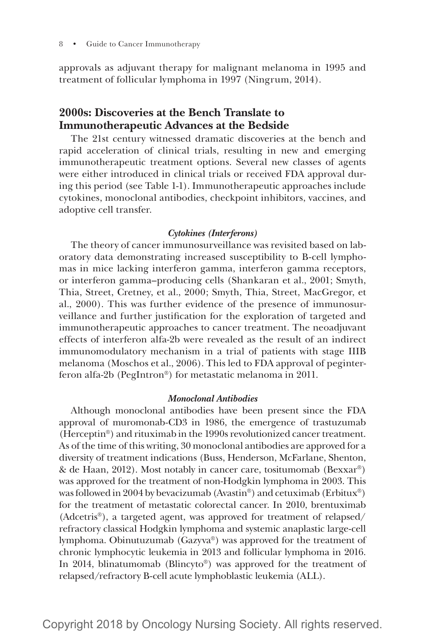approvals as adjuvant therapy for malignant melanoma in 1995 and treatment of follicular lymphoma in 1997 (Ningrum, 2014).

## **2000s: Discoveries at the Bench Translate to Immunotherapeutic Advances at the Bedside**

The 21st century witnessed dramatic discoveries at the bench and rapid acceleration of clinical trials, resulting in new and emerging immunotherapeutic treatment options. Several new classes of agents were either introduced in clinical trials or received FDA approval during this period (see Table 1-1). Immunotherapeutic approaches include cytokines, monoclonal antibodies, checkpoint inhibitors, vaccines, and adoptive cell transfer.

#### *Cytokines (Interferons)*

The theory of cancer immunosurveillance was revisited based on laboratory data demonstrating increased susceptibility to B-cell lymphomas in mice lacking interferon gamma, interferon gamma receptors, or interferon gamma–producing cells (Shankaran et al., 2001; Smyth, Thia, Street, Cretney, et al., 2000; Smyth, Thia, Street, MacGregor, et al., 2000). This was further evidence of the presence of immunosurveillance and further justification for the exploration of targeted and immunotherapeutic approaches to cancer treatment. The neoadjuvant effects of interferon alfa-2b were revealed as the result of an indirect immunomodulatory mechanism in a trial of patients with stage IIIB melanoma (Moschos et al., 2006). This led to FDA approval of peginterferon alfa-2b (PegIntron®) for metastatic melanoma in 2011.

#### *Monoclonal Antibodies*

Although monoclonal antibodies have been present since the FDA approval of muromonab-CD3 in 1986, the emergence of trastuzumab (Herceptin®) and rituximab in the 1990s revolutionized cancer treatment. As of the time of this writing, 30 monoclonal antibodies are approved for a diversity of treatment indications (Buss, Henderson, McFarlane, Shenton, & de Haan, 2012). Most notably in cancer care, tositumomab (Bexxar®) was approved for the treatment of non-Hodgkin lymphoma in 2003. This was followed in 2004 by bevacizumab (Avastin®) and cetuximab (Erbitux®) for the treatment of metastatic colorectal cancer. In 2010, brentuximab (Adcetris®), a targeted agent, was approved for treatment of relapsed/ refractory classical Hodgkin lymphoma and systemic anaplastic large-cell lymphoma. Obinutuzumab (Gazyva®) was approved for the treatment of chronic lymphocytic leukemia in 2013 and follicular lymphoma in 2016. In 2014, blinatumomab (Blincyto®) was approved for the treatment of relapsed/refractory B-cell acute lymphoblastic leukemia (ALL).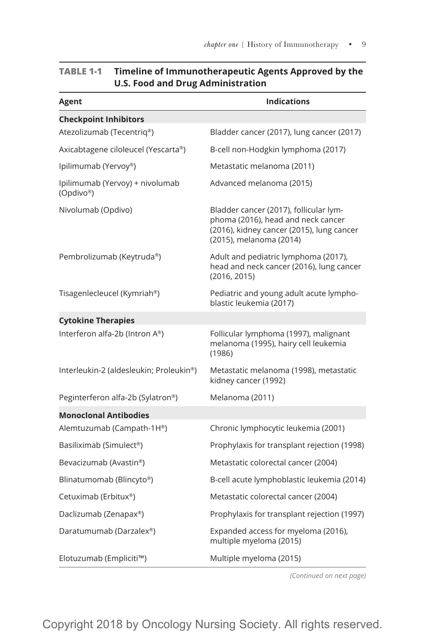| Agent                                        | <b>Indications</b>                                                                                                                                   |
|----------------------------------------------|------------------------------------------------------------------------------------------------------------------------------------------------------|
| <b>Checkpoint Inhibitors</b>                 |                                                                                                                                                      |
| Atezolizumab (Tecentriq®)                    | Bladder cancer (2017), lung cancer (2017)                                                                                                            |
| Axicabtagene ciloleucel (Yescarta®)          | B-cell non-Hodgkin lymphoma (2017)                                                                                                                   |
| Ipilimumab (Yervoy®)                         | Metastatic melanoma (2011)                                                                                                                           |
| Ipilimumab (Yervoy) + nivolumab<br>(Opdivo®) | Advanced melanoma (2015)                                                                                                                             |
| Nivolumab (Opdivo)                           | Bladder cancer (2017), follicular lym-<br>phoma (2016), head and neck cancer<br>(2016), kidney cancer (2015), lung cancer<br>(2015), melanoma (2014) |
| Pembrolizumab (Keytruda®)                    | Adult and pediatric lymphoma (2017),<br>head and neck cancer (2016), lung cancer<br>(2016, 2015)                                                     |
| Tisagenlecleucel (Kymriah®)                  | Pediatric and young adult acute lympho-<br>blastic leukemia (2017)                                                                                   |
| <b>Cytokine Therapies</b>                    |                                                                                                                                                      |
| Interferon alfa-2b (Intron A®)               | Follicular lymphoma (1997), malignant<br>melanoma (1995), hairy cell leukemia<br>(1986)                                                              |
| Interleukin-2 (aldesleukin; Proleukin®)      | Metastatic melanoma (1998), metastatic<br>kidney cancer (1992)                                                                                       |
| Peginterferon alfa-2b (Sylatron®)            | Melanoma (2011)                                                                                                                                      |
| <b>Monoclonal Antibodies</b>                 |                                                                                                                                                      |
| Alemtuzumab (Campath-1H®)                    | Chronic lymphocytic leukemia (2001)                                                                                                                  |
| Basiliximab (Simulect®)                      | Prophylaxis for transplant rejection (1998)                                                                                                          |
| Bevacizumab (Avastin®)                       | Metastatic colorectal cancer (2004)                                                                                                                  |
| Blinatumomab (Blincyto®)                     | B-cell acute lymphoblastic leukemia (2014)                                                                                                           |
| Cetuximab (Erbitux®)                         | Metastatic colorectal cancer (2004)                                                                                                                  |
| Daclizumab (Zenapax®)                        | Prophylaxis for transplant rejection (1997)                                                                                                          |
| Daratumumab (Darzalex®)                      | Expanded access for myeloma (2016),<br>multiple myeloma (2015)                                                                                       |
| Elotuzumab (Empliciti™)                      | Multiple myeloma (2015)                                                                                                                              |

## **TABLE 1-1 Timeline of Immunotherapeutic Agents Approved by the U.S. Food and Drug Administration**

*(Continued on next page)*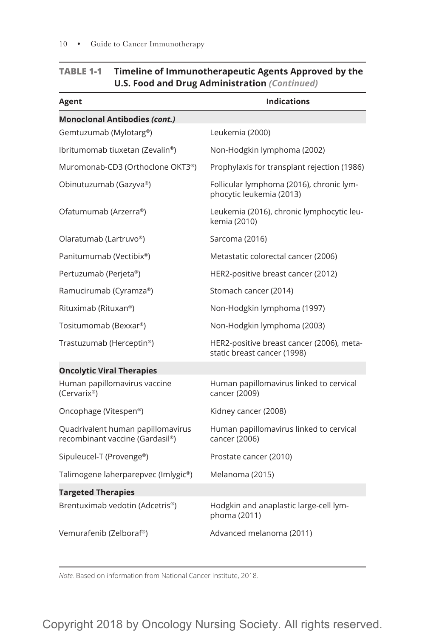| Agent                                                                | <b>Indications</b>                                                       |
|----------------------------------------------------------------------|--------------------------------------------------------------------------|
| <b>Monoclonal Antibodies (cont.)</b>                                 |                                                                          |
| Gemtuzumab (Mylotarg®)                                               | Leukemia (2000)                                                          |
| Ibritumomab tiuxetan (Zevalin®)                                      | Non-Hodgkin lymphoma (2002)                                              |
| Muromonab-CD3 (Orthoclone OKT3®)                                     | Prophylaxis for transplant rejection (1986)                              |
| Obinutuzumab (Gazyva®)                                               | Follicular lymphoma (2016), chronic lym-<br>phocytic leukemia (2013)     |
| Ofatumumab (Arzerra®)                                                | Leukemia (2016), chronic lymphocytic leu-<br>kemia (2010)                |
| Olaratumab (Lartruvo®)                                               | Sarcoma (2016)                                                           |
| Panitumumab (Vectibix®)                                              | Metastatic colorectal cancer (2006)                                      |
| Pertuzumab (Perjeta®)                                                | HER2-positive breast cancer (2012)                                       |
| Ramucirumab (Cyramza®)                                               | Stomach cancer (2014)                                                    |
| Rituximab (Rituxan®)                                                 | Non-Hodgkin lymphoma (1997)                                              |
| Tositumomab (Bexxar®)                                                | Non-Hodgkin lymphoma (2003)                                              |
| Trastuzumab (Herceptin®)                                             | HER2-positive breast cancer (2006), meta-<br>static breast cancer (1998) |
| <b>Oncolytic Viral Therapies</b>                                     |                                                                          |
| Human papillomavirus vaccine<br>$(Cervarix^{\circ})$                 | Human papillomavirus linked to cervical<br>cancer (2009)                 |
| Oncophage (Vitespen®)                                                | Kidney cancer (2008)                                                     |
| Quadrivalent human papillomavirus<br>recombinant vaccine (Gardasil®) | Human papillomavirus linked to cervical<br>cancer (2006)                 |
| Sipuleucel-T (Provenge®)                                             | Prostate cancer (2010)                                                   |
| Talimogene laherparepvec (Imlygic®)                                  | Melanoma (2015)                                                          |
| <b>Targeted Therapies</b>                                            |                                                                          |
| Brentuximab vedotin (Adcetris®)                                      | Hodgkin and anaplastic large-cell lym-<br>phoma (2011)                   |
| Vemurafenib (Zelboraf®)                                              | Advanced melanoma (2011)                                                 |

## **TABLE 1-1 Timeline of Immunotherapeutic Agents Approved by the U.S. Food and Drug Administration** *(Continued)*

*Note.* Based on information from National Cancer Institute, 2018.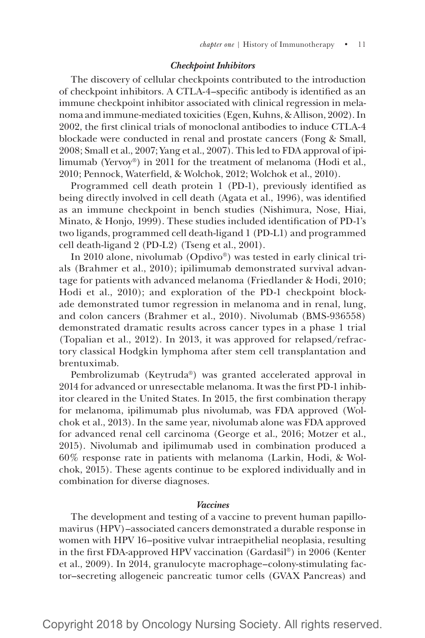#### *Checkpoint Inhibitors*

The discovery of cellular checkpoints contributed to the introduction of checkpoint inhibitors. A CTLA-4–specific antibody is identified as an immune checkpoint inhibitor associated with clinical regression in melanoma and immune-mediated toxicities (Egen, Kuhns, & Allison, 2002). In 2002, the first clinical trials of monoclonal antibodies to induce CTLA-4 blockade were conducted in renal and prostate cancers (Fong & Small, 2008; Small et al., 2007; Yang et al., 2007). This led to FDA approval of ipilimumab (Yervoy®) in 2011 for the treatment of melanoma (Hodi et al., 2010; Pennock, Waterfield, & Wolchok, 2012; Wolchok et al., 2010).

Programmed cell death protein 1 (PD-1), previously identified as being directly involved in cell death (Agata et al., 1996), was identified as an immune checkpoint in bench studies (Nishimura, Nose, Hiai, Minato, & Honjo, 1999). These studies included identification of PD-1's two ligands, programmed cell death-ligand 1 (PD-L1) and programmed cell death-ligand 2 (PD-L2) (Tseng et al., 2001).

In 2010 alone, nivolumab (Opdivo®) was tested in early clinical trials (Brahmer et al., 2010); ipilimumab demonstrated survival advantage for patients with advanced melanoma (Friedlander & Hodi, 2010; Hodi et al., 2010); and exploration of the PD-1 checkpoint blockade demonstrated tumor regression in melanoma and in renal, lung, and colon cancers (Brahmer et al., 2010). Nivolumab (BMS-936558) demonstrated dramatic results across cancer types in a phase 1 trial (Topalian et al., 2012). In 2013, it was approved for relapsed/refractory classical Hodgkin lymphoma after stem cell transplantation and brentuximab.

Pembrolizumab (Keytruda®) was granted accelerated approval in 2014 for advanced or unresectable melanoma. It was the first PD-1 inhibitor cleared in the United States. In 2015, the first combination therapy for melanoma, ipilimumab plus nivolumab, was FDA approved (Wolchok et al., 2013). In the same year, nivolumab alone was FDA approved for advanced renal cell carcinoma (George et al., 2016; Motzer et al., 2015). Nivolumab and ipilimumab used in combination produced a 60% response rate in patients with melanoma (Larkin, Hodi, & Wolchok, 2015). These agents continue to be explored individually and in combination for diverse diagnoses.

#### *Vaccines*

The development and testing of a vaccine to prevent human papillomavirus (HPV)–associated cancers demonstrated a durable response in women with HPV 16–positive vulvar intraepithelial neoplasia, resulting in the first FDA-approved HPV vaccination (Gardasil®) in 2006 (Kenter et al., 2009). In 2014, granulocyte macrophage–colony-stimulating factor–secreting allogeneic pancreatic tumor cells (GVAX Pancreas) and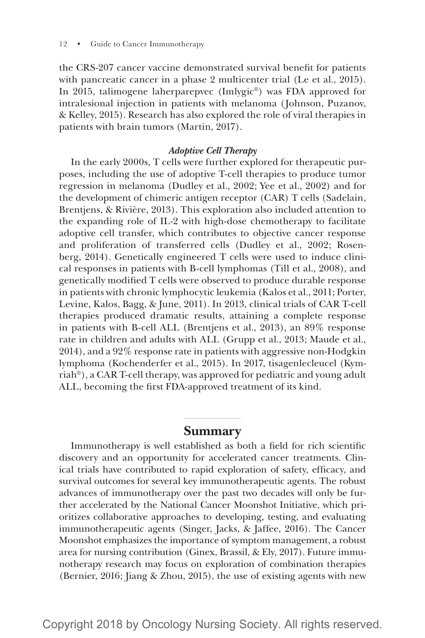the CRS-207 cancer vaccine demonstrated survival benefit for patients with pancreatic cancer in a phase 2 multicenter trial (Le et al., 2015). In 2015, talimogene laherparepvec (Imlygic®) was FDA approved for intralesional injection in patients with melanoma (Johnson, Puzanov, & Kelley, 2015). Research has also explored the role of viral therapies in patients with brain tumors (Martin, 2017).

#### *Adoptive Cell Therapy*

In the early 2000s, T cells were further explored for therapeutic purposes, including the use of adoptive T-cell therapies to produce tumor regression in melanoma (Dudley et al., 2002; Yee et al., 2002) and for the development of chimeric antigen receptor (CAR) T cells (Sadelain, Brentjens, & Rivière, 2013). This exploration also included attention to the expanding role of IL-2 with high-dose chemotherapy to facilitate adoptive cell transfer, which contributes to objective cancer response and proliferation of transferred cells (Dudley et al., 2002; Rosenberg, 2014). Genetically engineered T cells were used to induce clinical responses in patients with B-cell lymphomas (Till et al., 2008), and genetically modified T cells were observed to produce durable response in patients with chronic lymphocytic leukemia (Kalos et al., 2011; Porter, Levine, Kalos, Bagg, & June, 2011). In 2013, clinical trials of CAR T-cell therapies produced dramatic results, attaining a complete response in patients with B-cell ALL (Brentjens et al., 2013), an 89% response rate in children and adults with ALL (Grupp et al., 2013; Maude et al., 2014), and a 92% response rate in patients with aggressive non-Hodgkin lymphoma (Kochenderfer et al., 2015). In 2017, tisagenlecleucel (Kymriah®), a CAR T-cell therapy, was approved for pediatric and young adult ALL, becoming the first FDA-approved treatment of its kind.

## **Summary**

Immunotherapy is well established as both a field for rich scientific discovery and an opportunity for accelerated cancer treatments. Clinical trials have contributed to rapid exploration of safety, efficacy, and survival outcomes for several key immunotherapeutic agents. The robust advances of immunotherapy over the past two decades will only be further accelerated by the National Cancer Moonshot Initiative, which prioritizes collaborative approaches to developing, testing, and evaluating immunotherapeutic agents (Singer, Jacks, & Jaffee, 2016). The Cancer Moonshot emphasizes the importance of symptom management, a robust area for nursing contribution (Ginex, Brassil, & Ely, 2017). Future immunotherapy research may focus on exploration of combination therapies (Bernier, 2016; Jiang & Zhou, 2015), the use of existing agents with new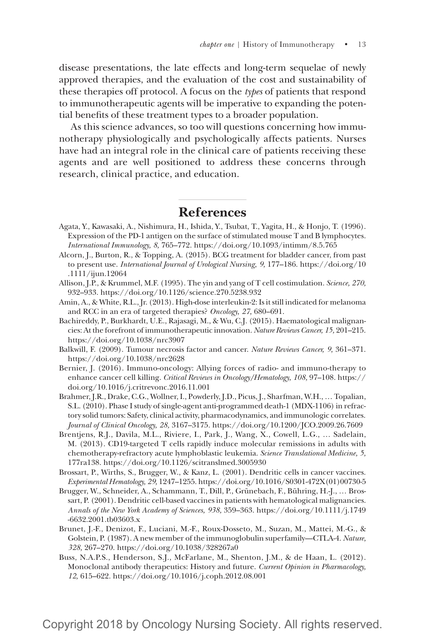disease presentations, the late effects and long-term sequelae of newly approved therapies, and the evaluation of the cost and sustainability of these therapies off protocol. A focus on the *types* of patients that respond to immunotherapeutic agents will be imperative to expanding the potential benefits of these treatment types to a broader population.

As this science advances, so too will questions concerning how immunotherapy physiologically and psychologically affects patients. Nurses have had an integral role in the clinical care of patients receiving these agents and are well positioned to address these concerns through research, clinical practice, and education.

# **References**

- Agata, Y., Kawasaki, A., Nishimura, H., Ishida, Y., Tsubat, T., Yagita, H., & Honjo, T. (1996). Expression of the PD-1 antigen on the surface of stimulated mouse T and B lymphocytes. *International Immunology, 8,* 765–772. https://doi.org/10.1093/intimm/8.5.765
- Alcorn, J., Burton, R., & Topping, A. (2015). BCG treatment for bladder cancer, from past to present use. *International Journal of Urological Nursing, 9,* 177–186. https://doi.org/10 .1111/ijun.12064
- Allison, J.P., & Krummel, M.F. (1995). The yin and yang of T cell costimulation. *Science, 270,* 932–933. https://doi.org/10.1126/science.270.5238.932
- Amin, A., & White, R.L., Jr. (2013). High-dose interleukin-2: Is it still indicated for melanoma and RCC in an era of targeted therapies? *Oncology, 27,* 680–691.
- Bachireddy, P., Burkhardt, U.E., Rajasagi, M., & Wu, C.J. (2015). Haematological malignancies: At the forefront of immunotherapeutic innovation. *Nature Reviews Cancer, 15,* 201–215. https://doi.org/10.1038/nrc3907
- Balkwill, F. (2009). Tumour necrosis factor and cancer. *Nature Reviews Cancer, 9,* 361–371. https://doi.org/10.1038/nrc2628
- Bernier, J. (2016). Immuno-oncology: Allying forces of radio- and immuno-therapy to enhance cancer cell killing. *Critical Reviews in Oncology/Hematology, 108,* 97–108. https:// doi.org/10.1016/j.critrevonc.2016.11.001
- Brahmer, J.R., Drake, C.G., Wollner, I., Powderly, J.D., Picus, J., Sharfman, W.H., … Topalian, S.L. (2010). Phase I study of single-agent anti-programmed death-1 (MDX-1106) in refractory solid tumors: Safety, clinical activity, pharmacodynamics, and immunologic correlates. *Journal of Clinical Oncology, 28,* 3167–3175. https://doi.org/10.1200/JCO.2009.26.7609
- Brentjens, R.J., Davila, M.L., Riviere, I., Park, J., Wang, X., Cowell, L.G., … Sadelain, M. (2013). CD19-targeted T cells rapidly induce molecular remissions in adults with chemotherapy-refractory acute lymphoblastic leukemia. *Science Translational Medicine, 5,* 177ra138. https://doi.org/10.1126/scitranslmed.3005930
- Brossart, P., Wirths, S., Brugger, W., & Kanz, L. (2001). Dendritic cells in cancer vaccines. *Experimental Hematology, 29,* 1247–1255. https://doi.org/10.1016/S0301-472X(01)00730-5
- Brugger, W., Schneider, A., Schammann, T., Dill, P., Grünebach, F., Bühring, H.-J., … Brossart, P. (2001). Dendritic cell-based vaccines in patients with hematological malignancies. *Annals of the New York Academy of Sciences, 938,* 359–363. https://doi.org/10.1111/j.1749 -6632.2001.tb03603.x
- Brunet, J.-F., Denizot, F., Luciani, M.-F., Roux-Dosseto, M., Suzan, M., Mattei, M.-G., & Golstein, P. (1987). A new member of the immunoglobulin superfamily—CTLA-4. *Nature, 328,* 267–270. https://doi.org/10.1038/328267a0
- Buss, N.A.P.S., Henderson, S.J., McFarlane, M., Shenton, J.M., & de Haan, L. (2012). Monoclonal antibody therapeutics: History and future. *Current Opinion in Pharmacology, 12,* 615–622. https://doi.org/10.1016/j.coph.2012.08.001

Copyright 2018 by Oncology Nursing Society. All rights reserved.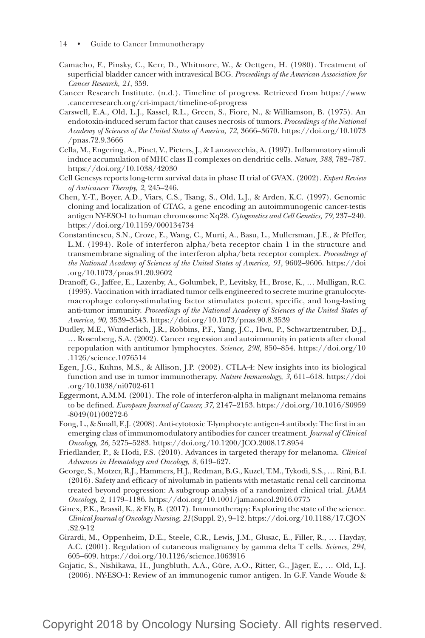- 14 Guide to Cancer Immunotherapy
- Camacho, F., Pinsky, C., Kerr, D., Whitmore, W., & Oettgen, H. (1980). Treatment of superficial bladder cancer with intravesical BCG. *Proceedings of the American Association for Cancer Research, 21,* 359.
- Cancer Research Institute. (n.d.). Timeline of progress. Retrieved from https://www .cancerresearch.org/cri-impact/timeline-of-progress
- Carswell, E.A., Old, L.J., Kassel, R.L., Green, S., Fiore, N., & Williamson, B. (1975). An endotoxin-induced serum factor that causes necrosis of tumors. *Proceedings of the National Academy of Sciences of the United States of America, 72,* 3666–3670. https://doi.org/10.1073 /pnas.72.9.3666
- Cella, M., Engering, A., Pinet, V., Pieters, J., & Lanzavecchia, A. (1997). Inflammatory stimuli induce accumulation of MHC class II complexes on dendritic cells. *Nature, 388,* 782–787. https://doi.org/10.1038/42030
- Cell Genesys reports long-term survival data in phase II trial of GVAX. (2002). *Expert Review of Anticancer Therapy, 2,* 245–246.
- Chen, Y.-T., Boyer, A.D., Viars, C.S., Tsang, S., Old, L.J., & Arden, K.C. (1997). Genomic cloning and localization of CTAG, a gene encoding an autoimmunogenic cancer-testis antigen NY-ESO-1 to human chromosome Xq28. *Cytogenetics and Cell Genetics, 79,* 237–240. https://doi.org/10.1159/000134734
- Constantinescu, S.N., Croze, E., Wang, C., Murti, A., Basu, L., Mullersman, J.E., & Pfeffer, L.M. (1994). Role of interferon alpha/beta receptor chain 1 in the structure and transmembrane signaling of the interferon alpha/beta receptor complex. *Proceedings of the National Academy of Sciences of the United States of America, 91, 9602–9606. https://doi* .org/10.1073/pnas.91.20.9602
- Dranoff, G., Jaffee, E., Lazenby, A., Golumbek, P., Levitsky, H., Brose, K., … Mulligan, R.C. (1993). Vaccination with irradiated tumor cells engineered to secrete murine granulocytemacrophage colony-stimulating factor stimulates potent, specific, and long-lasting anti-tumor immunity. *Proceedings of the National Academy of Sciences of the United States of America, 90,* 3539–3543. https://doi.org/10.1073/pnas.90.8.3539
- Dudley, M.E., Wunderlich, J.R., Robbins, P.F., Yang, J.C., Hwu, P., Schwartzentruber, D.J., … Rosenberg, S.A. (2002). Cancer regression and autoimmunity in patients after clonal repopulation with antitumor lymphocytes. *Science, 298,* 850–854. https://doi.org/10 .1126/science.1076514
- Egen, J.G., Kuhns, M.S., & Allison, J.P. (2002). CTLA-4: New insights into its biological function and use in tumor immunotherapy. *Nature Immunology, 3,* 611–618. https://doi .org/10.1038/ni0702-611
- Eggermont, A.M.M. (2001). The role of interferon-alpha in malignant melanoma remains to be defined. *European Journal of Cancer, 37,* 2147–2153. https://doi.org/10.1016/S0959 -8049(01)00272-6
- Fong, L., & Small, E.J. (2008). Anti-cytotoxic T-lymphocyte antigen-4 antibody: The first in an emerging class of immunomodulatory antibodies for cancer treatment. *Journal of Clinical Oncology, 26,* 5275–5283. https://doi.org/10.1200/JCO.2008.17.8954
- Friedlander, P., & Hodi, F.S. (2010). Advances in targeted therapy for melanoma. *Clinical Advances in Hematology and Oncology, 8,* 619–627.
- George, S., Motzer, R.J., Hammers, H.J., Redman, B.G., Kuzel, T.M., Tykodi, S.S., … Rini, B.I. (2016). Safety and efficacy of nivolumab in patients with metastatic renal cell carcinoma treated beyond progression: A subgroup analysis of a randomized clinical trial. *JAMA Oncology, 2,* 1179–1186. https://doi.org/10.1001/jamaoncol.2016.0775
- Ginex, P.K., Brassil, K., & Ely, B. (2017). Immunotherapy: Exploring the state of the science. *Clinical Journal of Oncology Nursing, 21*(Suppl. 2), 9–12. https://doi.org/10.1188/17.CJON .S2.9-12
- Girardi, M., Oppenheim, D.E., Steele, C.R., Lewis, J.M., Glusac, E., Filler, R., … Hayday, A.C. (2001). Regulation of cutaneous malignancy by gamma delta T cells. *Science, 294,*  605–609. https://doi.org/10.1126/science.1063916
- Gnjatic, S., Nishikawa, H., Jungbluth, A.A., Güre, A.O., Ritter, G., Jäger, E., … Old, L.J. (2006). NY-ESO-1: Review of an immunogenic tumor antigen. In G.F. Vande Woude &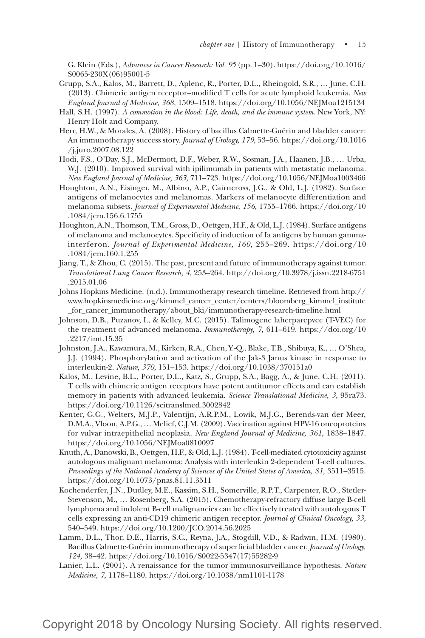G. Klein (Eds.), *Advances in Cancer Research: Vol. 95* (pp. 1–30). https://doi.org/10.1016/ S0065-230X(06)95001-5

- Grupp, S.A., Kalos, M., Barrett, D., Aplenc, R., Porter, D.L., Rheingold, S.R., … June, C.H. (2013). Chimeric antigen receptor–modified T cells for acute lymphoid leukemia*. New England Journal of Medicine, 368,* 1509–1518. https://doi.org/10.1056/NEJMoa1215134
- Hall, S.H. (1997). *A commotion in the blood: Life, death, and the immune system*. New York, NY: Henry Holt and Company.
- Herr, H.W., & Morales, A. (2008). History of bacillus Calmette-Guérin and bladder cancer: An immunotherapy success story. *Journal of Urology, 179,* 53–56. https://doi.org/10.1016 /j.juro.2007.08.122
- Hodi, F.S., O'Day, S.J., McDermott, D.F., Weber, R.W., Sosman, J.A., Haanen, J.B., … Urba, W.J. (2010). Improved survival with ipilimumab in patients with metastatic melanoma. *New England Journal of Medicine, 363,* 711–723. https://doi.org/10.1056/NEJMoa1003466
- Houghton, A.N., Eisinger, M., Albino, A.P., Cairncross, J.G., & Old, L.J. (1982). Surface antigens of melanocytes and melanomas. Markers of melanocyte differentiation and melanoma subsets. *Journal of Experimental Medicine, 156,* 1755–1766. https://doi.org/10 .1084/jem.156.6.1755
- Houghton, A.N., Thomson, T.M., Gross, D., Oettgen, H.F., & Old, L.J. (1984). Surface antigens of melanoma and melanocytes. Specificity of induction of Ia antigens by human gammainterferon. *Journal of Experimental Medicine, 160,* 255–269. https://doi.org/10 .1084/jem.160.1.255
- Jiang, T., & Zhou, C. (2015). The past, present and future of immunotherapy against tumor. *Translational Lung Cancer Research, 4,* 253–264. http://doi.org/10.3978/j.issn.2218-6751 .2015.01.06
- Johns Hopkins Medicine. (n.d.). Immunotherapy research timeline. Retrieved from http:// www.hopkinsmedicine.org/kimmel\_cancer\_center/centers/bloomberg\_kimmel\_institute \_for\_cancer\_immunotherapy/about\_bki/immunotherapy-research-timeline.html
- Johnson, D.B., Puzanov, I., & Kelley, M.C. (2015). Talimogene laherparepvec (T-VEC) for the treatment of advanced melanoma. *Immunotherapy, 7,* 611–619. https://doi.org/10 .2217/imt.15.35
- Johnston, J.A., Kawamura, M., Kirken, R.A., Chen, Y.-Q., Blake, T.B., Shibuya, K., … O'Shea, J.J. (1994). Phosphorylation and activation of the Jak-3 Janus kinase in response to interleukin-2. *Nature, 370,* 151–153. https://doi.org/10.1038/370151a0
- Kalos, M., Levine, B.L., Porter, D.L., Katz, S., Grupp, S.A., Bagg, A., & June, C.H. (2011). T cells with chimeric antigen receptors have potent antitumor effects and can establish memory in patients with advanced leukemia. *Science Translational Medicine, 3,* 95ra73. https://doi.org/10.1126/scitranslmed.3002842
- Kenter, G.G., Welters, M.J.P., Valentijn, A.R.P.M., Lowik, M.J.G., Berends-van der Meer, D.M.A., Vloon, A.P.G., … Melief, C.J.M. (2009). Vaccination against HPV-16 oncoproteins for vulvar intraepithelial neoplasia. *New England Journal of Medicine, 361,* 1838–1847. https://doi.org/10.1056/NEJMoa0810097
- Knuth, A., Danowski, B., Oettgen, H.F., & Old, L.J. (1984). T-cell-mediated cytotoxicity against autologous malignant melanoma: Analysis with interleukin 2-dependent T-cell cultures. *Proceedings of the National Academy of Sciences of the United States of America, 81, 3511–3515.* https://doi.org/10.1073/pnas.81.11.3511
- Kochenderfer, J.N., Dudley, M.E., Kassim, S.H., Somerville, R.P.T., Carpenter, R.O., Stetler-Stevenson, M., … Rosenberg, S.A. (2015). Chemotherapy-refractory diffuse large B-cell lymphoma and indolent B-cell malignancies can be effectively treated with autologous T cells expressing an anti-CD19 chimeric antigen receptor. *Journal of Clinical Oncology, 33,* 540–549. https://doi.org/10.1200/JCO.2014.56.2025
- Lamm, D.L., Thor, D.E., Harris, S.C., Reyna, J.A., Stogdill, V.D., & Radwin, H.M. (1980). Bacillus Calmette-Guérin immunotherapy of superficial bladder cancer. *Journal of Urology, 124,* 38–42. https://doi.org/10.1016/S0022-5347(17)55282-9
- Lanier, L.L. (2001). A renaissance for the tumor immunosurveillance hypothesis. *Nature Medicine, 7,* 1178–1180. https://doi.org/10.1038/nm1101-1178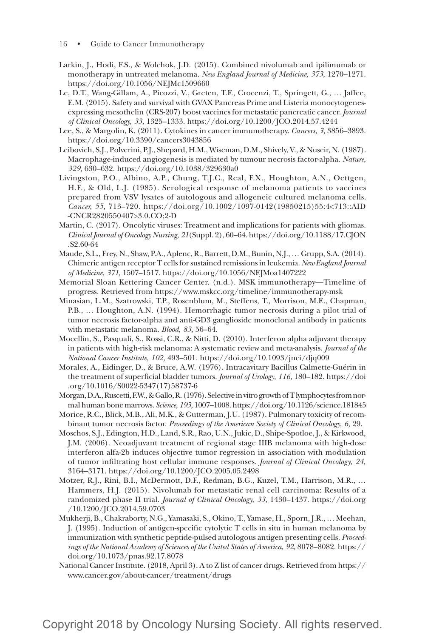- 16 Guide to Cancer Immunotherapy
- Larkin, J., Hodi, F.S., & Wolchok, J.D. (2015). Combined nivolumab and ipilimumab or monotherapy in untreated melanoma. *New England Journal of Medicine, 373,* 1270–1271. https://doi.org/10.1056/NEJMc1509660
- Le, D.T., Wang-Gillam, A., Picozzi, V., Greten, T.F., Crocenzi, T., Springett, G., … Jaffee, E.M. (2015). Safety and survival with GVAX Pancreas Prime and Listeria monocytogenesexpressing mesothelin (CRS-207) boost vaccines for metastatic pancreatic cancer. *Journal of Clinical Oncology, 33,* 1325–1333. https://doi.org/10.1200/JCO.2014.57.4244
- Lee, S., & Margolin, K. (2011). Cytokines in cancer immunotherapy. *Cancers, 3,* 3856–3893. https://doi.org/10.3390/cancers3043856
- Leibovich, S.J., Polverini, P.J., Shepard, H.M., Wiseman, D.M., Shively, V., & Nuseir, N. (1987). Macrophage-induced angiogenesis is mediated by tumour necrosis factor-alpha. *Nature, 329,* 630–632. https://doi.org/10.1038/329630a0
- Livingston, P.O., Albino, A.P., Chung, T.J.C., Real, F.X., Houghton, A.N., Oettgen, H.F., & Old, L.J. (1985). Serological response of melanoma patients to vaccines prepared from VSV lysates of autologous and allogeneic cultured melanoma cells. *Cancer, 55,* 713–720. https://doi.org/10.1002/1097-0142(19850215)55:4<713::AID -CNCR2820550407>3.0.CO;2-D
- Martin, C. (2017). Oncolytic viruses: Treatment and implications for patients with gliomas. *Clinical Journal of Oncology Nursing, 21*(Suppl. 2), 60–64. https://doi.org/10.1188/17.CJON .S2.60-64
- Maude, S.L., Frey, N., Shaw, P.A., Aplenc, R., Barrett, D.M., Bunin, N.J., … Grupp, S.A. (2014). Chimeric antigen receptor T cells for sustained remissions in leukemia. *New England Journal of Medicine, 371,* 1507–1517. https://doi.org/10.1056/NEJMoa1407222
- Memorial Sloan Kettering Cancer Center. (n.d.). MSK immunotherapy—Timeline of progress. Retrieved from https://www.mskcc.org/timeline/immunotherapy-msk
- Minasian, L.M., Szatrowski, T.P., Rosenblum, M., Steffens, T., Morrison, M.E., Chapman, P.B., … Houghton, A.N. (1994). Hemorrhagic tumor necrosis during a pilot trial of tumor necrosis factor-alpha and anti-GD3 ganglioside monoclonal antibody in patients with metastatic melanoma. *Blood, 83,* 56–64.
- Mocellin, S., Pasquali, S., Rossi, C.R., & Nitti, D. (2010). Interferon alpha adjuvant therapy in patients with high-risk melanoma: A systematic review and meta-analysis. *Journal of the National Cancer Institute, 102,* 493–501. https://doi.org/10.1093/jnci/djq009
- Morales, A., Eidinger, D., & Bruce, A.W. (1976). Intracavitary Bacillus Calmette-Guérin in the treatment of superficial bladder tumors. *Journal of Urology, 116,* 180–182. https://doi .org/10.1016/S0022-5347(17)58737-6
- Morgan, D.A., Ruscetti, F.W., & Gallo, R. (1976). Selective in vitro growth of T lymphocytes from normal human bone marrows. *Science, 193,* 1007–1008. https://doi.org/10.1126/science.181845
- Morice, R.C., Blick, M.B., Ali, M.K., & Gutterman, J.U. (1987). Pulmonary toxicity of recombinant tumor necrosis factor. *Proceedings of the American Society of Clinical Oncology, 6,* 29.
- Moschos, S.J., Edington, H.D., Land, S.R., Rao, U.N., Jukic, D., Shipe-Spotloe, J., & Kirkwood, J.M. (2006). Neoadjuvant treatment of regional stage IIIB melanoma with high-dose interferon alfa-2b induces objective tumor regression in association with modulation of tumor infiltrating host cellular immune responses. *Journal of Clinical Oncology, 24,* 3164–3171. https://doi.org/10.1200/JCO.2005.05.2498
- Motzer, R.J., Rini, B.I., McDermott, D.F., Redman, B.G., Kuzel, T.M., Harrison, M.R., … Hammers, H.J. (2015). Nivolumab for metastatic renal cell carcinoma: Results of a randomized phase II trial. *Journal of Clinical Oncology, 33,* 1430–1437. https://doi.org /10.1200/JCO.2014.59.0703
- Mukherji, B., Chakraborty, N.G., Yamasaki, S., Okino, T., Yamase, H., Sporn, J.R., … Meehan, J. (1995). Induction of antigen-specific cytolytic T cells in situ in human melanoma by immunization with synthetic peptide-pulsed autologous antigen presenting cells. *Proceedings of the National Academy of Sciences of the United States of America, 92,* 8078–8082. https:// doi.org/10.1073/pnas.92.17.8078
- National Cancer Institute. (2018, April 3). A to Z list of cancer drugs. Retrieved from https:// www.cancer.gov/about-cancer/treatment/drugs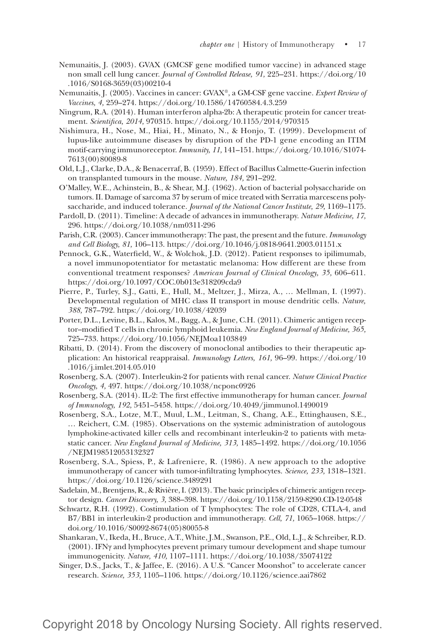- Nemunaitis, J. (2003). GVAX (GMCSF gene modified tumor vaccine) in advanced stage non small cell lung cancer. *Journal of Controlled Release, 91,* 225–231. https://doi.org/10 .1016/S0168-3659(03)00210-4
- Nemunaitis, J. (2005). Vaccines in cancer: GVAX®, a GM-CSF gene vaccine. *Expert Review of Vaccines, 4,* 259–274. https://doi.org/10.1586/14760584.4.3.259
- Ningrum, R.A. (2014). Human interferon alpha-2b: A therapeutic protein for cancer treatment. *Scientifica, 2014,* 970315. https://doi.org/10.1155/2014/970315
- Nishimura, H., Nose, M., Hiai, H., Minato, N., & Honjo, T. (1999). Development of lupus-like autoimmune diseases by disruption of the PD-1 gene encoding an ITIM motif-carrying immunoreceptor. *Immunity, 11,* 141–151. https://doi.org/10.1016/S1074- 7613(00)80089-8
- Old, L.J., Clarke, D.A., & Benacerraf, B. (1959). Effect of Bacillus Calmette-Guerin infection on transplanted tumours in the mouse. *Nature, 184,* 291–292.
- O'Malley, W.E., Achinstein, B., & Shear, M.J. (1962). Action of bacterial polysaccharide on tumors. II. Damage of sarcoma 37 by serum of mice treated with Serratia marcescens polysaccharide, and induced tolerance. *Journal of the National Cancer Institute, 29,* 1169–1175.
- Pardoll, D. (2011). Timeline: A decade of advances in immunotherapy. *Nature Medicine, 17,* 296. https://doi.org/10.1038/nm0311-296
- Parish, C.R. (2003). Cancer immunotherapy: The past, the present and the future. *Immunology and Cell Biology, 81,* 106–113. https://doi.org/10.1046/j.0818-9641.2003.01151.x
- Pennock, G.K., Waterfield, W., & Wolchok, J.D. (2012). Patient responses to ipilimumab, a novel immunopotentiator for metastatic melanoma: How different are these from conventional treatment responses? *American Journal of Clinical Oncology, 35,* 606–611. https://doi.org/10.1097/COC.0b013e318209cda9
- Pierre, P., Turley, S.J., Gatti, E., Hull, M., Meltzer, J., Mirza, A., … Mellman, I. (1997). Developmental regulation of MHC class II transport in mouse dendritic cells. *Nature, 388,* 787–792. https://doi.org/10.1038/42039
- Porter, D.L., Levine, B.L., Kalos, M., Bagg, A., & June, C.H. (2011). Chimeric antigen receptor–modified T cells in chronic lymphoid leukemia. *New England Journal of Medicine, 365,*  725–733. https://doi.org/10.1056/NEJMoa1103849
- Ribatti, D. (2014). From the discovery of monoclonal antibodies to their therapeutic application: An historical reappraisal. *Immunology Letters, 161,* 96–99. https://doi.org/10 .1016/j.imlet.2014.05.010
- Rosenberg, S.A. (2007). Interleukin-2 for patients with renal cancer. *Nature Clinical Practice Oncology, 4,* 497. https://doi.org/10.1038/ncponc0926
- Rosenberg, S.A. (2014). IL-2: The first effective immunotherapy for human cancer. *Journal of Immunology, 192,* 5451–5458. https://doi.org/10.4049/jimmunol.1490019
- Rosenberg, S.A., Lotze, M.T., Muul, L.M., Leitman, S., Chang, A.E., Ettinghausen, S.E., … Reichert, C.M. (1985). Observations on the systemic administration of autologous lymphokine-activated killer cells and recombinant interleukin-2 to patients with metastatic cancer. *New England Journal of Medicine, 313,* 1485–1492. https://doi.org/10.1056 /NEJM198512053132327
- Rosenberg, S.A., Spiess, P., & Lafreniere, R. (1986). A new approach to the adoptive immunotherapy of cancer with tumor-infiltrating lymphocytes. *Science, 233,* 1318–1321. https://doi.org/10.1126/science.3489291
- Sadelain, M., Brentjens, R., & Rivière, I. (2013). The basic principles of chimeric antigen receptor design. *Cancer Discovery, 3,* 388–398. https://doi.org/10.1158/2159-8290.CD-12-0548
- Schwartz, R.H. (1992). Costimulation of T lymphocytes: The role of CD28, CTLA-4, and B7/BB1 in interleukin-2 production and immunotherapy. *Cell, 71,* 1065–1068. https:// doi.org/10.1016/S0092-8674(05)80055-8
- Shankaran, V., Ikeda, H., Bruce, A.T., White, J.M., Swanson, P.E., Old, L.J., & Schreiber, R.D. (2001). IFNγ and lymphocytes prevent primary tumour development and shape tumour immunogenicity. *Nature, 410,* 1107–1111. https://doi.org/10.1038/35074122
- Singer, D.S., Jacks, T., & Jaffee, E. (2016). A U.S. "Cancer Moonshot" to accelerate cancer research. *Science, 353,* 1105–1106. https://doi.org/10.1126/science.aai7862

Copyright 2018 by Oncology Nursing Society. All rights reserved.